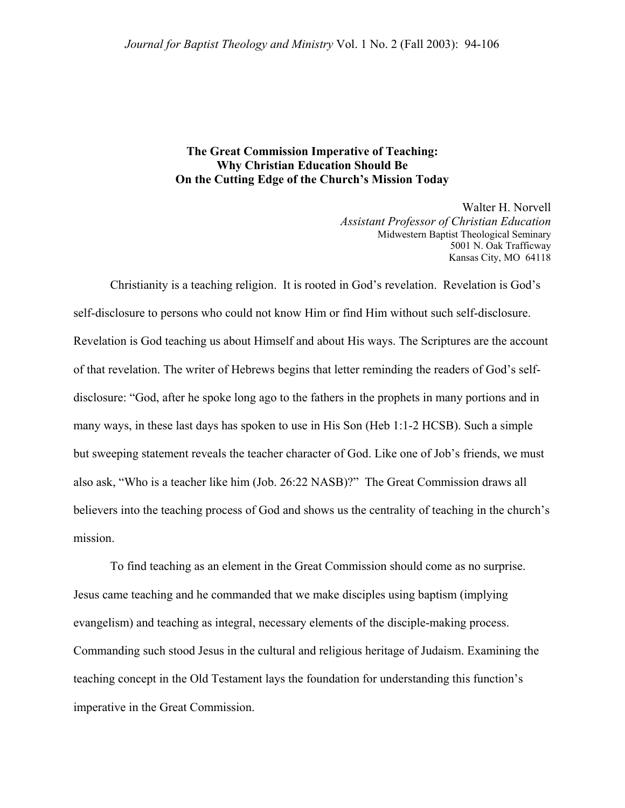# **The Great Commission Imperative of Teaching: Why Christian Education Should Be On the Cutting Edge of the Church's Mission Today**

Walter H. Norvell *Assistant Professor of Christian Education*  Midwestern Baptist Theological Seminary 5001 N. Oak Trafficway Kansas City, MO 64118

Christianity is a teaching religion. It is rooted in God's revelation. Revelation is God's self-disclosure to persons who could not know Him or find Him without such self-disclosure. Revelation is God teaching us about Himself and about His ways. The Scriptures are the account of that revelation. The writer of Hebrews begins that letter reminding the readers of God's selfdisclosure: "God, after he spoke long ago to the fathers in the prophets in many portions and in many ways, in these last days has spoken to use in His Son (Heb 1:1-2 HCSB). Such a simple but sweeping statement reveals the teacher character of God. Like one of Job's friends, we must also ask, "Who is a teacher like him (Job. 26:22 NASB)?" The Great Commission draws all believers into the teaching process of God and shows us the centrality of teaching in the church's mission.

To find teaching as an element in the Great Commission should come as no surprise. Jesus came teaching and he commanded that we make disciples using baptism (implying evangelism) and teaching as integral, necessary elements of the disciple-making process. Commanding such stood Jesus in the cultural and religious heritage of Judaism. Examining the teaching concept in the Old Testament lays the foundation for understanding this function's imperative in the Great Commission.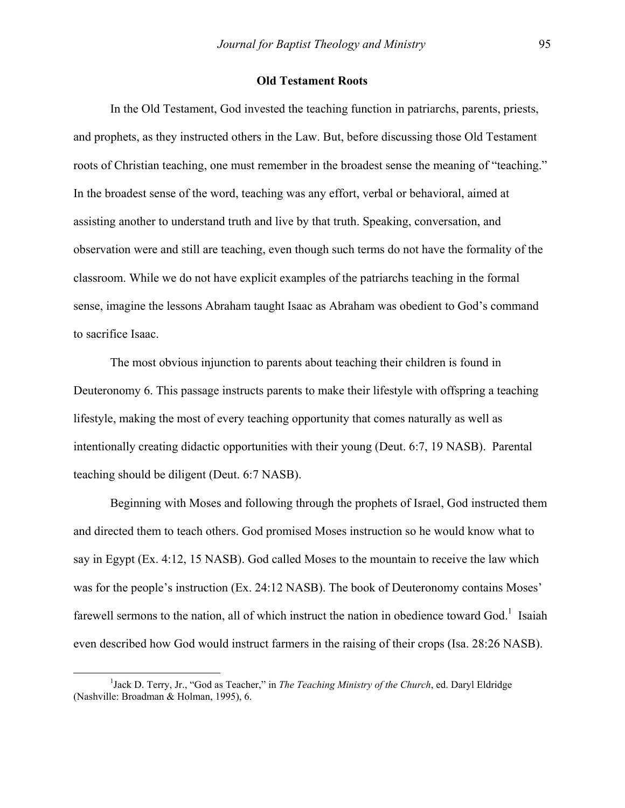#### **Old Testament Roots**

In the Old Testament, God invested the teaching function in patriarchs, parents, priests, and prophets, as they instructed others in the Law. But, before discussing those Old Testament roots of Christian teaching, one must remember in the broadest sense the meaning of "teaching." In the broadest sense of the word, teaching was any effort, verbal or behavioral, aimed at assisting another to understand truth and live by that truth. Speaking, conversation, and observation were and still are teaching, even though such terms do not have the formality of the classroom. While we do not have explicit examples of the patriarchs teaching in the formal sense, imagine the lessons Abraham taught Isaac as Abraham was obedient to God's command to sacrifice Isaac.

The most obvious injunction to parents about teaching their children is found in Deuteronomy 6. This passage instructs parents to make their lifestyle with offspring a teaching lifestyle, making the most of every teaching opportunity that comes naturally as well as intentionally creating didactic opportunities with their young (Deut. 6:7, 19 NASB). Parental teaching should be diligent (Deut. 6:7 NASB).

Beginning with Moses and following through the prophets of Israel, God instructed them and directed them to teach others. God promised Moses instruction so he would know what to say in Egypt (Ex. 4:12, 15 NASB). God called Moses to the mountain to receive the law which was for the people's instruction (Ex. 24:12 NASB). The book of Deuteronomy contains Moses' farewell sermons to the nation, all of which instruct the nation in obedience toward God.<sup>1</sup> Isaiah even described how God would instruct farmers in the raising of their crops (Isa. 28:26 NASB).

<span id="page-1-0"></span><sup>&</sup>lt;u>1</u> <sup>1</sup>Jack D. Terry, Jr., "God as Teacher," in *The Teaching Ministry of the Church*, ed. Daryl Eldridge (Nashville: Broadman & Holman, 1995), 6.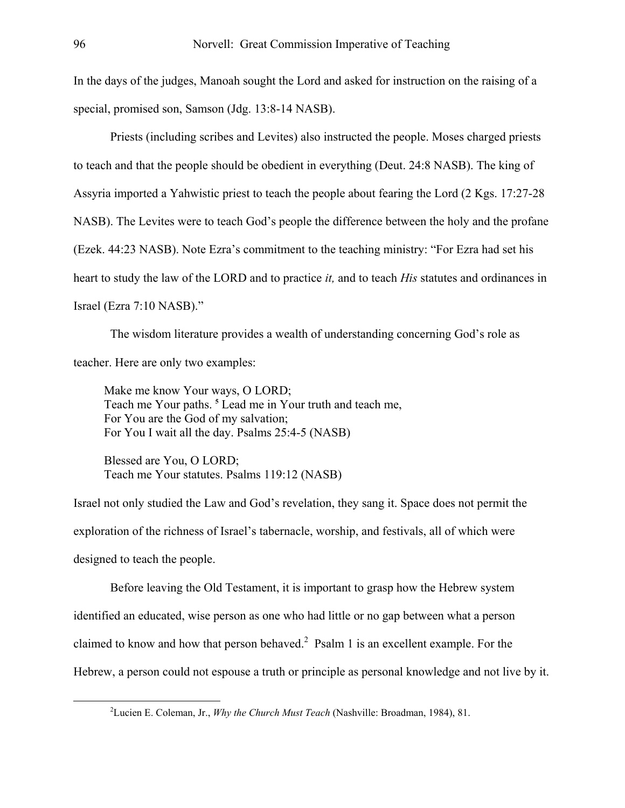In the days of the judges, Manoah sought the Lord and asked for instruction on the raising of a special, promised son, Samson (Jdg. 13:8-14 NASB).

Priests (including scribes and Levites) also instructed the people. Moses charged priests to teach and that the people should be obedient in everything (Deut. 24:8 NASB). The king of Assyria imported a Yahwistic priest to teach the people about fearing the Lord (2 Kgs. 17:27-28 NASB). The Levites were to teach God's people the difference between the holy and the profane (Ezek. 44:23 NASB). Note Ezra's commitment to the teaching ministry: "For Ezra had set his heart to study the law of the LORD and to practice *it,* and to teach *His* statutes and ordinances in Israel (Ezra 7:10 NASB)."

The wisdom literature provides a wealth of understanding concerning God's role as teacher. Here are only two examples:

Make me know Your ways, O LORD; Teach me Your paths. **<sup>5</sup>** Lead me in Your truth and teach me, For You are the God of my salvation; For You I wait all the day. Psalms 25:4-5 (NASB)

Blessed are You, O LORD; Teach me Your statutes. Psalms 119:12 (NASB)

Israel not only studied the Law and God's revelation, they sang it. Space does not permit the exploration of the richness of Israel's tabernacle, worship, and festivals, all of which were designed to teach the people.

Before leaving the Old Testament, it is important to grasp how the Hebrew system identified an educated, wise person as one who had little or no gap between what a person claimed to know and how that person behaved.<sup>2</sup> Psalm 1 is an excellent example. For the Hebrew, a person could not espouse a truth or principle as personal knowledge and not live by it.

<span id="page-2-0"></span> $\frac{1}{2}$ Lucien E. Coleman, Jr., *Why the Church Must Teach* (Nashville: Broadman, 1984), 81.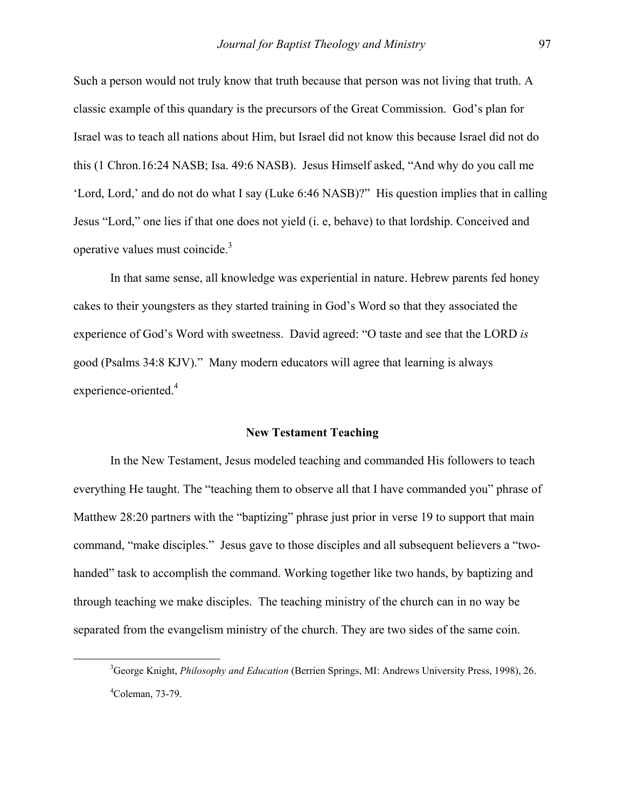Such a person would not truly know that truth because that person was not living that truth. A classic example of this quandary is the precursors of the Great Commission. God's plan for Israel was to teach all nations about Him, but Israel did not know this because Israel did not do this (1 Chron.16:24 NASB; Isa. 49:6 NASB). Jesus Himself asked, "And why do you call me 'Lord, Lord,' and do not do what I say (Luke 6:46 NASB)?" His question implies that in calling Jesus "Lord," one lies if that one does not yield (i. e, behave) to that lordship. Conceived and operative values must coincide. $3$ 

In that same sense, all knowledge was experiential in nature. Hebrew parents fed honey cakes to their youngsters as they started training in God's Word so that they associated the experience of God's Word with sweetness. David agreed: "O taste and see that the LORD *is* good (Psalms 34:8 KJV)." Many modern educators will agree that learning is always experience-oriented.<sup>4</sup>

### **New Testament Teaching**

In the New Testament, Jesus modeled teaching and commanded His followers to teach everything He taught. The "teaching them to observe all that I have commanded you" phrase of Matthew 28:20 partners with the "baptizing" phrase just prior in verse 19 to support that main command, "make disciples." Jesus gave to those disciples and all subsequent believers a "twohanded" task to accomplish the command. Working together like two hands, by baptizing and through teaching we make disciples. The teaching ministry of the church can in no way be separated from the evangelism ministry of the church. They are two sides of the same coin.

<span id="page-3-1"></span><span id="page-3-0"></span> <sup>3</sup> <sup>3</sup>George Knight, *Philosophy and Education* (Berrien Springs, MI: Andrews University Press, 1998), 26. 4  $^{4}$ Coleman, 73-79.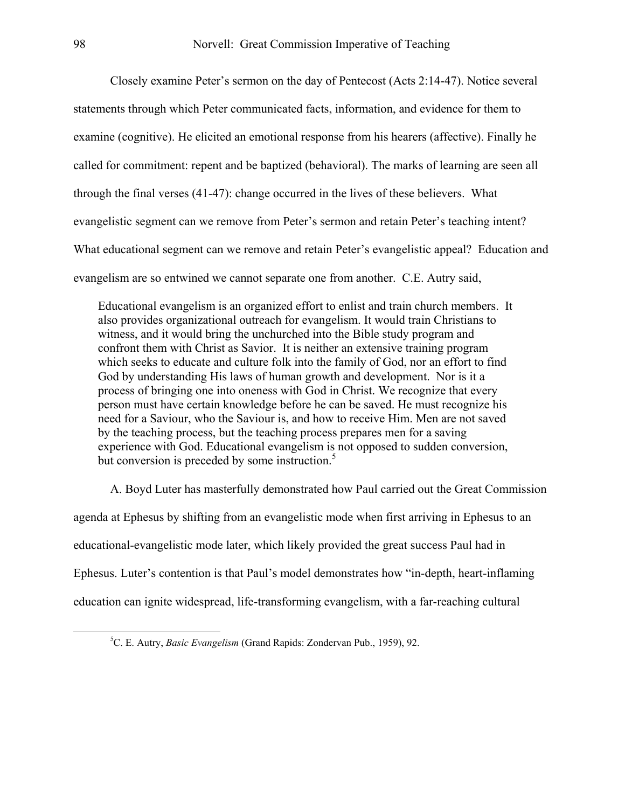Closely examine Peter's sermon on the day of Pentecost (Acts 2:14-47). Notice several statements through which Peter communicated facts, information, and evidence for them to examine (cognitive). He elicited an emotional response from his hearers (affective). Finally he called for commitment: repent and be baptized (behavioral). The marks of learning are seen all through the final verses (41-47): change occurred in the lives of these believers. What evangelistic segment can we remove from Peter's sermon and retain Peter's teaching intent? What educational segment can we remove and retain Peter's evangelistic appeal? Education and evangelism are so entwined we cannot separate one from another. C.E. Autry said,

Educational evangelism is an organized effort to enlist and train church members. It also provides organizational outreach for evangelism. It would train Christians to witness, and it would bring the unchurched into the Bible study program and confront them with Christ as Savior. It is neither an extensive training program which seeks to educate and culture folk into the family of God, nor an effort to find God by understanding His laws of human growth and development. Nor is it a process of bringing one into oneness with God in Christ. We recognize that every person must have certain knowledge before he can be saved. He must recognize his need for a Saviour, who the Saviour is, and how to receive Him. Men are not saved by the teaching process, but the teaching process prepares men for a saving experience with God. Educational evangelism is not opposed to sudden conversion, but conversion is preceded by some instruction.<sup>[5](#page-4-0)</sup>

A. Boyd Luter has masterfully demonstrated how Paul carried out the Great Commission agenda at Ephesus by shifting from an evangelistic mode when first arriving in Ephesus to an educational-evangelistic mode later, which likely provided the great success Paul had in Ephesus. Luter's contention is that Paul's model demonstrates how "in-depth, heart-inflaming education can ignite widespread, life-transforming evangelism, with a far-reaching cultural

<span id="page-4-0"></span> $\frac{1}{5}$ C. E. Autry, *Basic Evangelism* (Grand Rapids: Zondervan Pub., 1959), 92.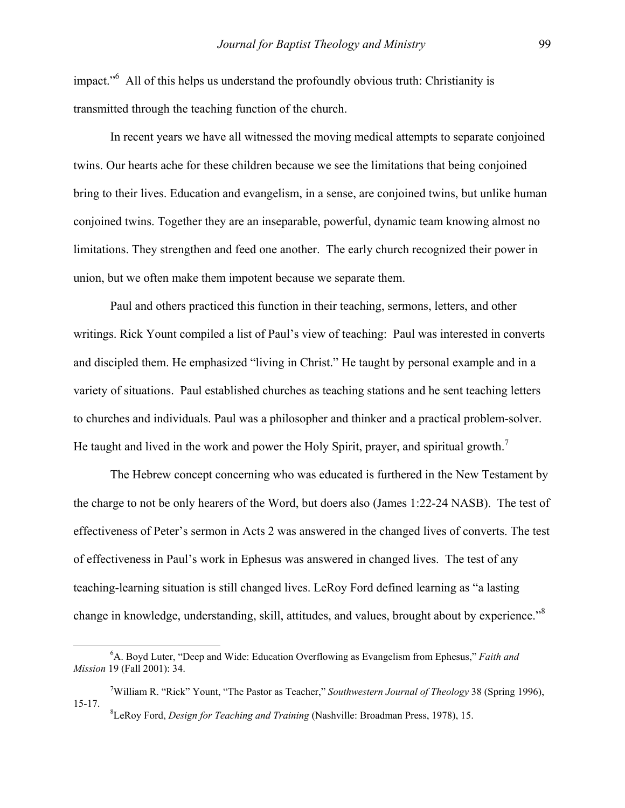impact."<sup>[6](#page-5-0)</sup> All of this helps us understand the profoundly obvious truth: Christianity is transmitted through the teaching function of the church.

In recent years we have all witnessed the moving medical attempts to separate conjoined twins. Our hearts ache for these children because we see the limitations that being conjoined bring to their lives. Education and evangelism, in a sense, are conjoined twins, but unlike human conjoined twins. Together they are an inseparable, powerful, dynamic team knowing almost no limitations. They strengthen and feed one another. The early church recognized their power in union, but we often make them impotent because we separate them.

Paul and others practiced this function in their teaching, sermons, letters, and other writings. Rick Yount compiled a list of Paul's view of teaching: Paul was interested in converts and discipled them. He emphasized "living in Christ." He taught by personal example and in a variety of situations. Paul established churches as teaching stations and he sent teaching letters to churches and individuals. Paul was a philosopher and thinker and a practical problem-solver. He taught and lived in the work and power the Holy Spirit, prayer, and spiritual growth.<sup>[7](#page-5-1)</sup>

The Hebrew concept concerning who was educated is furthered in the New Testament by the charge to not be only hearers of the Word, but doers also (James 1:22-24 NASB). The test of effectiveness of Peter's sermon in Acts 2 was answered in the changed lives of converts. The test of effectiveness in Paul's work in Ephesus was answered in changed lives. The test of any teaching-learning situation is still changed lives. LeRoy Ford defined learning as "a lasting change in knowledge, understanding, skill, attitudes, and values, brought about by experience."<sup>[8](#page-5-2)</sup>

<span id="page-5-0"></span> <sup>6</sup> A. Boyd Luter, "Deep and Wide: Education Overflowing as Evangelism from Ephesus," *Faith and Mission* 19 (Fall 2001): 34.

<span id="page-5-2"></span><span id="page-5-1"></span> <sup>7</sup> William R. "Rick" Yount, "The Pastor as Teacher," *Southwestern Journal of Theology* 38 (Spring 1996),  $15-17.$ LeRoy Ford, *Design for Teaching and Training* (Nashville: Broadman Press, 1978), 15.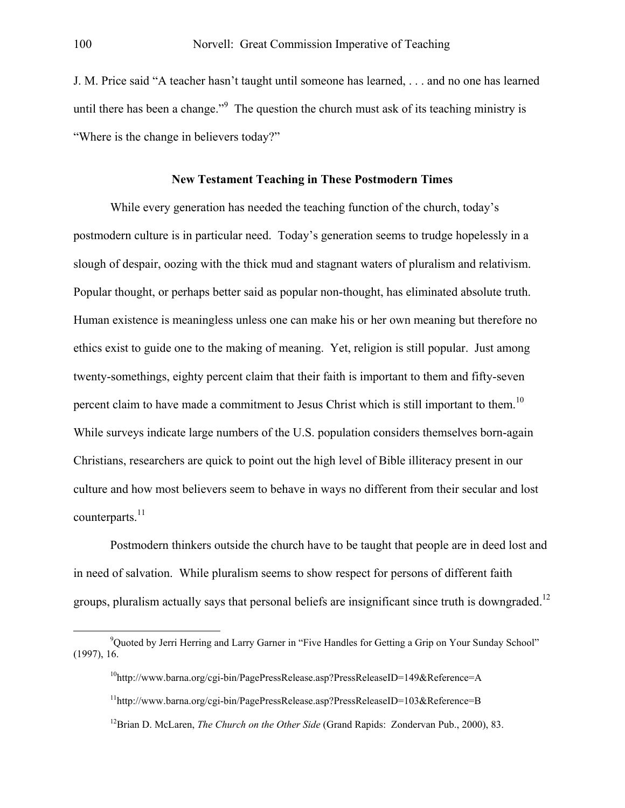J. M. Price said "A teacher hasn't taught until someone has learned, . . . and no one has learned until there has been a change."<sup>9</sup> The question the church must ask of its teaching ministry is "Where is the change in believers today?"

# **New Testament Teaching in These Postmodern Times**

While every generation has needed the teaching function of the church, today's postmodern culture is in particular need. Today's generation seems to trudge hopelessly in a slough of despair, oozing with the thick mud and stagnant waters of pluralism and relativism. Popular thought, or perhaps better said as popular non-thought, has eliminated absolute truth. Human existence is meaningless unless one can make his or her own meaning but therefore no ethics exist to guide one to the making of meaning. Yet, religion is still popular. Just among twenty-somethings, eighty percent claim that their faith is important to them and fifty-seven percent claim to have made a commitment to Jesus Christ which is still important to them.<sup>10</sup> While surveys indicate large numbers of the U.S. population considers themselves born-again Christians, researchers are quick to point out the high level of Bible illiteracy present in our culture and how most believers seem to behave in ways no different from their secular and lost counterparts. $^{11}$ 

Postmodern thinkers outside the church have to be taught that people are in deed lost and in need of salvation. While pluralism seems to show respect for persons of different faith groups, pluralism actually says that personal beliefs are insignificant since truth is downgraded.<sup>12</sup>

 $\frac{1}{9}$ <sup>9</sup>Quoted by Jerri Herring and Larry Garner in "Five Handles for Getting a Grip on Your Sunday School" (1997), 16.

<span id="page-6-1"></span><span id="page-6-0"></span> $10$ http://www.barna.org/cgi-bin/PagePressRelease.asp?PressReleaseID=149&Reference=A

<span id="page-6-3"></span><span id="page-6-2"></span><sup>&</sup>lt;sup>11</sup>http://www.barna.org/cgi-bin/PagePressRelease.asp?PressReleaseID=103&Reference=B

<sup>&</sup>lt;sup>12</sup>Brian D. McLaren, *The Church on the Other Side* (Grand Rapids: Zondervan Pub., 2000), 83.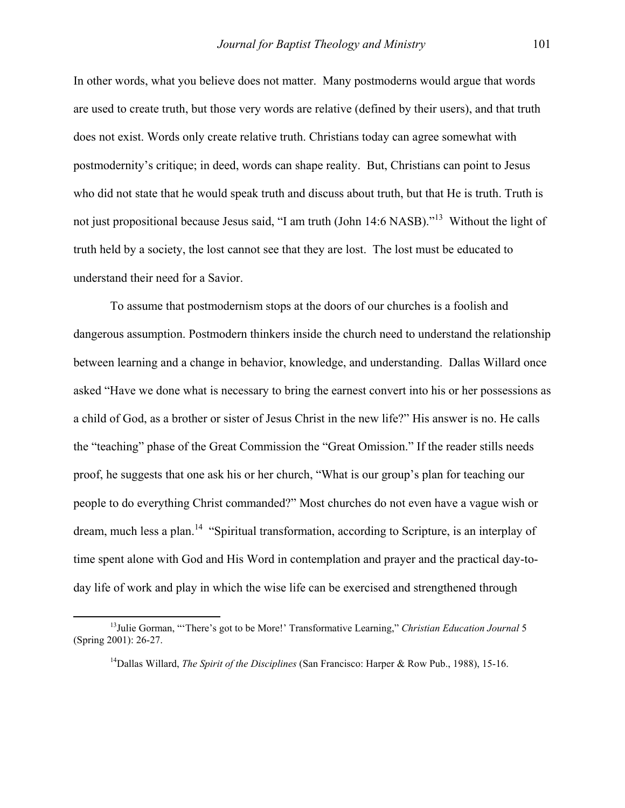In other words, what you believe does not matter. Many postmoderns would argue that words are used to create truth, but those very words are relative (defined by their users), and that truth does not exist. Words only create relative truth. Christians today can agree somewhat with postmodernity's critique; in deed, words can shape reality. But, Christians can point to Jesus who did not state that he would speak truth and discuss about truth, but that He is truth. Truth is not just propositional because Jesus said, "I am truth (John 14:6 NASB)."<sup>13</sup> Without the light of truth held by a society, the lost cannot see that they are lost. The lost must be educated to understand their need for a Savior.

To assume that postmodernism stops at the doors of our churches is a foolish and dangerous assumption. Postmodern thinkers inside the church need to understand the relationship between learning and a change in behavior, knowledge, and understanding. Dallas Willard once asked "Have we done what is necessary to bring the earnest convert into his or her possessions as a child of God, as a brother or sister of Jesus Christ in the new life?" His answer is no. He calls the "teaching" phase of the Great Commission the "Great Omission." If the reader stills needs proof, he suggests that one ask his or her church, "What is our group's plan for teaching our people to do everything Christ commanded?" Most churches do not even have a vague wish or dream, much less a plan.<sup>14</sup> "Spiritual transformation, according to Scripture, is an interplay of time spent alone with God and His Word in contemplation and prayer and the practical day-today life of work and play in which the wise life can be exercised and strengthened through

<span id="page-7-1"></span><sup>&</sup>lt;sup>13</sup> Julie Gorman, "There's got to be More!' Transformative Learning," *Christian Education Journal* 5 (Spring 2001): 26-27.

<span id="page-7-0"></span><sup>14</sup>Dallas Willard, *The Spirit of the Disciplines* (San Francisco: Harper & Row Pub., 1988), 15-16.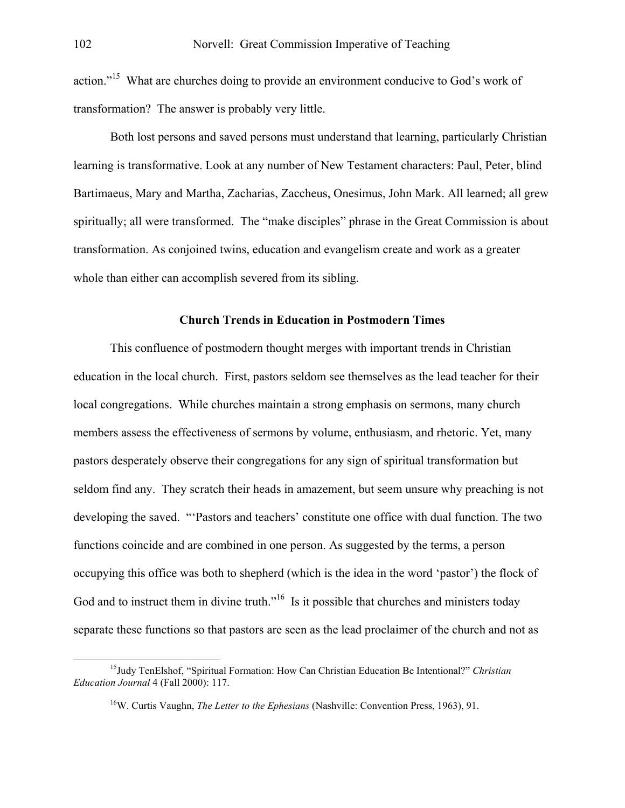action."<sup>15</sup> What are churches doing to provide an environment conducive to God's work of transformation? The answer is probably very little.

Both lost persons and saved persons must understand that learning, particularly Christian learning is transformative. Look at any number of New Testament characters: Paul, Peter, blind Bartimaeus, Mary and Martha, Zacharias, Zaccheus, Onesimus, John Mark. All learned; all grew spiritually; all were transformed. The "make disciples" phrase in the Great Commission is about transformation. As conjoined twins, education and evangelism create and work as a greater whole than either can accomplish severed from its sibling.

# **Church Trends in Education in Postmodern Times**

This confluence of postmodern thought merges with important trends in Christian education in the local church. First, pastors seldom see themselves as the lead teacher for their local congregations. While churches maintain a strong emphasis on sermons, many church members assess the effectiveness of sermons by volume, enthusiasm, and rhetoric. Yet, many pastors desperately observe their congregations for any sign of spiritual transformation but seldom find any. They scratch their heads in amazement, but seem unsure why preaching is not developing the saved. "'Pastors and teachers' constitute one office with dual function. The two functions coincide and are combined in one person. As suggested by the terms, a person occupying this office was both to shepherd (which is the idea in the word 'pastor') the flock of God and to instruct them in divine truth."<sup>16</sup> Is it possible that churches and ministers today separate these functions so that pastors are seen as the lead proclaimer of the church and not as

 <sup>15</sup>Judy TenElshof, "Spiritual Formation: How Can Christian Education Be Intentional?" *Christian Education Journal* 4 (Fall 2000): 117.

<span id="page-8-1"></span><span id="page-8-0"></span> <sup>16</sup>W. Curtis Vaughn, *The Letter to the Ephesians* (Nashville: Convention Press, 1963), 91.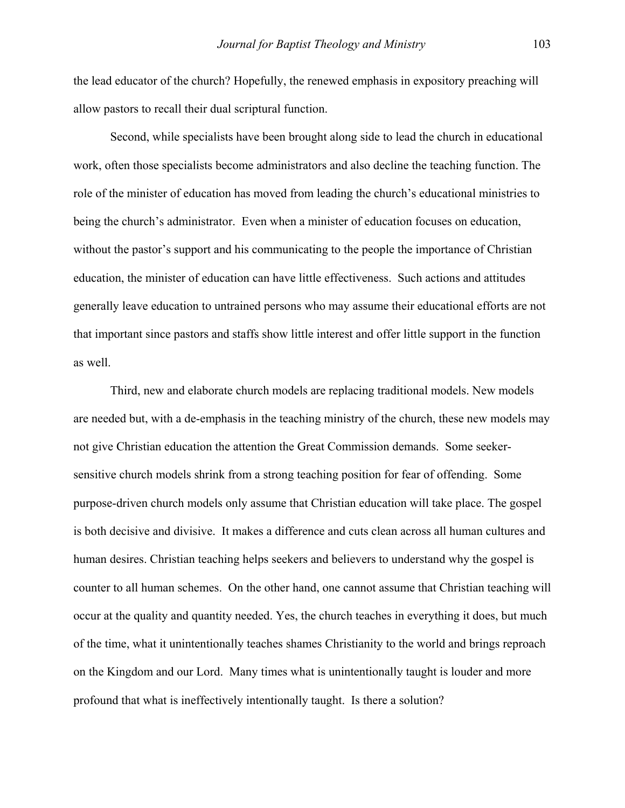the lead educator of the church? Hopefully, the renewed emphasis in expository preaching will allow pastors to recall their dual scriptural function.

 Second, while specialists have been brought along side to lead the church in educational work, often those specialists become administrators and also decline the teaching function. The role of the minister of education has moved from leading the church's educational ministries to being the church's administrator. Even when a minister of education focuses on education, without the pastor's support and his communicating to the people the importance of Christian education, the minister of education can have little effectiveness. Such actions and attitudes generally leave education to untrained persons who may assume their educational efforts are not that important since pastors and staffs show little interest and offer little support in the function as well.

Third, new and elaborate church models are replacing traditional models. New models are needed but, with a de-emphasis in the teaching ministry of the church, these new models may not give Christian education the attention the Great Commission demands. Some seekersensitive church models shrink from a strong teaching position for fear of offending. Some purpose-driven church models only assume that Christian education will take place. The gospel is both decisive and divisive. It makes a difference and cuts clean across all human cultures and human desires. Christian teaching helps seekers and believers to understand why the gospel is counter to all human schemes. On the other hand, one cannot assume that Christian teaching will occur at the quality and quantity needed. Yes, the church teaches in everything it does, but much of the time, what it unintentionally teaches shames Christianity to the world and brings reproach on the Kingdom and our Lord. Many times what is unintentionally taught is louder and more profound that what is ineffectively intentionally taught. Is there a solution?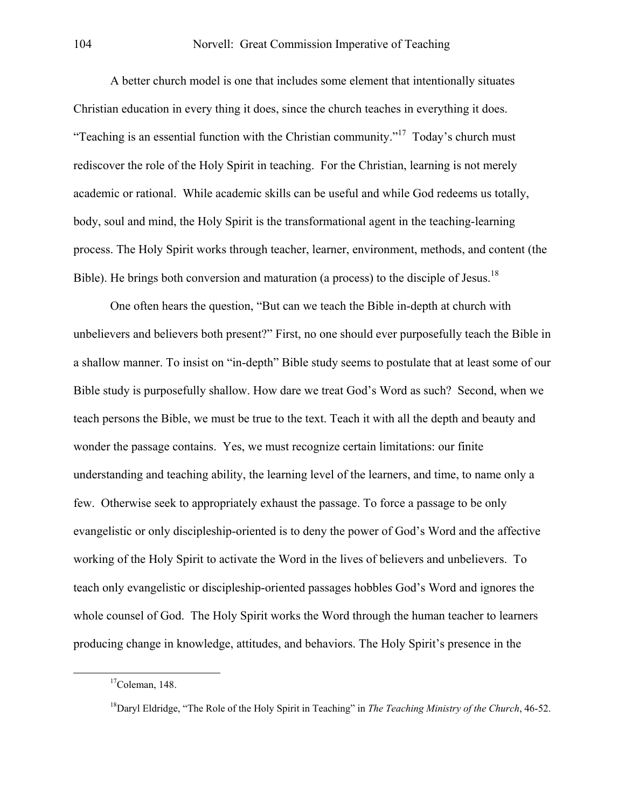A better church model is one that includes some element that intentionally situates Christian education in every thing it does, since the church teaches in everything it does. "Teaching is an essential function with the Christian community."<sup>17</sup> Today's church must rediscover the role of the Holy Spirit in teaching. For the Christian, learning is not merely academic or rational. While academic skills can be useful and while God redeems us totally, body, soul and mind, the Holy Spirit is the transformational agent in the teaching-learning process. The Holy Spirit works through teacher, learner, environment, methods, and content (the Bible). He brings both conversion and maturation (a process) to the disciple of Jesus.<sup>18</sup>

One often hears the question, "But can we teach the Bible in-depth at church with unbelievers and believers both present?" First, no one should ever purposefully teach the Bible in a shallow manner. To insist on "in-depth" Bible study seems to postulate that at least some of our Bible study is purposefully shallow. How dare we treat God's Word as such? Second, when we teach persons the Bible, we must be true to the text. Teach it with all the depth and beauty and wonder the passage contains. Yes, we must recognize certain limitations: our finite understanding and teaching ability, the learning level of the learners, and time, to name only a few. Otherwise seek to appropriately exhaust the passage. To force a passage to be only evangelistic or only discipleship-oriented is to deny the power of God's Word and the affective working of the Holy Spirit to activate the Word in the lives of believers and unbelievers. To teach only evangelistic or discipleship-oriented passages hobbles God's Word and ignores the whole counsel of God. The Holy Spirit works the Word through the human teacher to learners producing change in knowledge, attitudes, and behaviors. The Holy Spirit's presence in the

<span id="page-10-1"></span><span id="page-10-0"></span> $17$ Coleman, 148.

 <sup>18</sup>Daryl Eldridge, "The Role of the Holy Spirit in Teaching" in *The Teaching Ministry of the Church*, 46-52.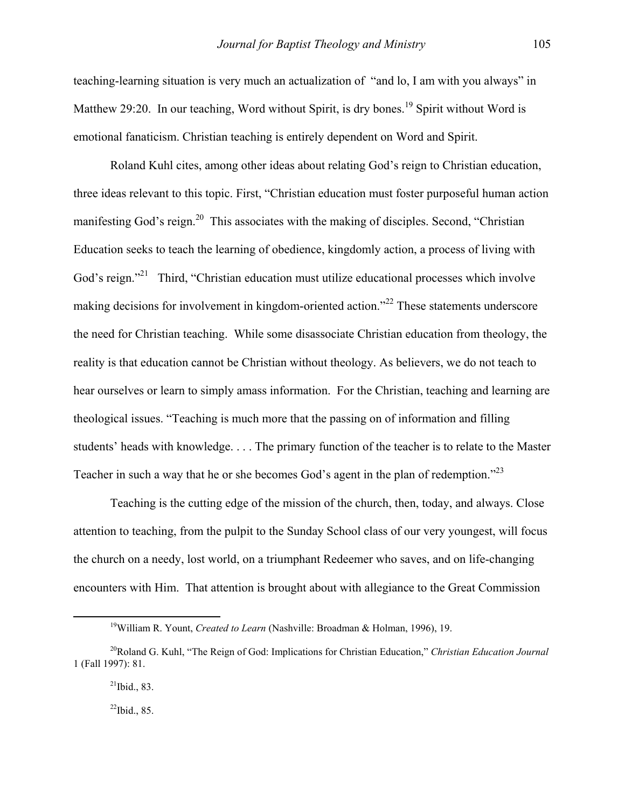<span id="page-11-4"></span>teaching-learning situation is very much an actualization of "and lo, I am with you always" in Matthew 29:20. In our teaching, Word without Spirit, is dry bones.<sup>19</sup> Spirit without Word is emotional fanaticism. Christian teaching is entirely dependent on Word and Spirit.

Roland Kuhl cites, among other ideas about relating God's reign to Christian education, three ideas relevant to this topic. First, "Christian education must foster purposeful human action manifesting God's reign.<sup>20</sup> This associates with the making of disciples. Second, "Christian" Education seeks to teach the learning of obedience, kingdomly action, a process of living with God's reign."<sup>21</sup> Third, "Christian education must utilize educational processes which involve making decisions for involvement in kingdom-oriented action."[22 T](#page-11-3)hese statements underscore the need for Christian teaching. While some disassociate Christian education from theology, the reality is that education cannot be Christian without theology. As believers, we do not teach to hear ourselves or learn to simply amass information. For the Christian, teaching and learning are theological issues. "Teaching is much more that the passing on of information and filling students' heads with knowledge. . . . The primary function of the teacher is to relate to the Master Teacher in such a way that he or she becomes God's agent in the plan of redemption."<sup>23</sup>

Teaching is the cutting edge of the mission of the church, then, today, and always. Close attention to teaching, from the pulpit to the Sunday School class of our very youngest, will focus the church on a needy, lost world, on a triumphant Redeemer who saves, and on life-changing encounters with Him. That attention is brought about with allegiance to the Great Commission

<span id="page-11-3"></span> $^{22}$ Ibid., 85.

<span id="page-11-0"></span> <sup>19</sup>William R. Yount, *Created to Learn* (Nashville: Broadman & Holman, 1996), 19.

<span id="page-11-1"></span><sup>20</sup>Roland G. Kuhl, "The Reign of God: Implications for Christian Education," *Christian Education Journal* 1 (Fall 1997): 81.

<span id="page-11-2"></span> $^{21}$ Ibid., 83.